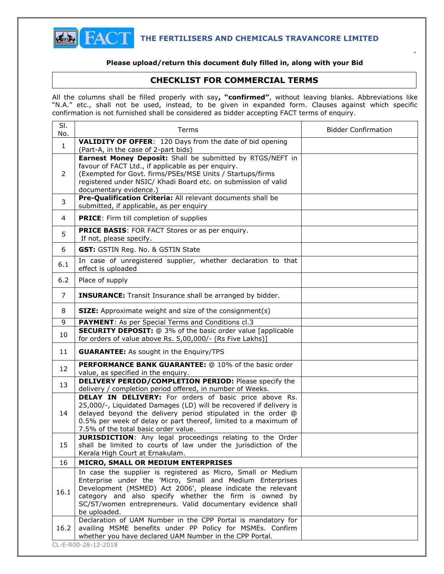

Page 1

## **Please upload/return this document duly filled in, along with your Bid**

## **CHECKLIST FOR COMMERCIAL TERMS**

All the columns shall be filled properly with say**, "confirmed"**, without leaving blanks. Abbreviations like "N.A." etc., shall not be used, instead, to be given in expanded form. Clauses against which specific confirmation is not furnished shall be considered as bidder accepting FACT terms of enquiry.

| SI.<br>No.     | Terms                                                                                                                                                                                                                                                                                                                                   | <b>Bidder Confirmation</b> |
|----------------|-----------------------------------------------------------------------------------------------------------------------------------------------------------------------------------------------------------------------------------------------------------------------------------------------------------------------------------------|----------------------------|
| $\mathbf{1}$   | <b>VALIDITY OF OFFER:</b> 120 Days from the date of bid opening<br>(Part-A, in the case of 2-part bids)                                                                                                                                                                                                                                 |                            |
| 2<br>3         | Earnest Money Deposit: Shall be submitted by RTGS/NEFT in<br>favour of FACT Ltd., if applicable as per enquiry.<br>(Exempted for Govt. firms/PSEs/MSE Units / Startups/firms<br>registered under NSIC/ Khadi Board etc. on submission of valid<br>documentary evidence.)<br>Pre-Qualification Criteria: All relevant documents shall be |                            |
|                | submitted, if applicable, as per enquiry                                                                                                                                                                                                                                                                                                |                            |
| $\overline{4}$ | <b>PRICE:</b> Firm till completion of supplies                                                                                                                                                                                                                                                                                          |                            |
| 5              | PRICE BASIS: FOR FACT Stores or as per enquiry.<br>If not, please specify.                                                                                                                                                                                                                                                              |                            |
| 6              | GST: GSTIN Reg. No. & GSTIN State                                                                                                                                                                                                                                                                                                       |                            |
| 6.1            | In case of unregistered supplier, whether declaration to that<br>effect is uploaded                                                                                                                                                                                                                                                     |                            |
| 6.2            | Place of supply                                                                                                                                                                                                                                                                                                                         |                            |
| $\overline{7}$ | <b>INSURANCE:</b> Transit Insurance shall be arranged by bidder.                                                                                                                                                                                                                                                                        |                            |
| 8              | <b>SIZE:</b> Approximate weight and size of the consignment(s)                                                                                                                                                                                                                                                                          |                            |
| 9              | <b>PAYMENT:</b> As per Special Terms and Conditions cl.3                                                                                                                                                                                                                                                                                |                            |
| 10             | <b>SECURITY DEPOSIT:</b> @ 3% of the basic order value [applicable<br>for orders of value above Rs. 5,00,000/- (Rs Five Lakhs)]                                                                                                                                                                                                         |                            |
| 11             | <b>GUARANTEE:</b> As sought in the Enquiry/TPS                                                                                                                                                                                                                                                                                          |                            |
| 12             | PERFORMANCE BANK GUARANTEE: @ 10% of the basic order<br>value, as specified in the enquiry.                                                                                                                                                                                                                                             |                            |
| 13             | <b>DELIVERY PERIOD/COMPLETION PERIOD:</b> Please specify the<br>delivery / completion period offered, in number of Weeks.                                                                                                                                                                                                               |                            |
| 14             | <b>DELAY IN DELIVERY:</b> For orders of basic price above Rs.<br>25,000/-, Liquidated Damages (LD) will be recovered if delivery is<br>delayed beyond the delivery period stipulated in the order @<br>0.5% per week of delay or part thereof, limited to a maximum of<br>7.5% of the total basic order value.                          |                            |
| 15             | <b>JURISDICTION:</b> Any legal proceedings relating to the Order<br>shall be limited to courts of law under the jurisdiction of the<br>Kerala High Court at Ernakulam.                                                                                                                                                                  |                            |
| 16             | MICRO, SMALL OR MEDIUM ENTERPRISES                                                                                                                                                                                                                                                                                                      |                            |
| 16.1           | In case the supplier is registered as Micro, Small or Medium<br>Enterprise under the 'Micro, Small and Medium Enterprises<br>Development (MSMED) Act 2006', please indicate the relevant<br>category and also specify whether the firm is owned by<br>SC/ST/women entrepreneurs. Valid documentary evidence shall<br>be uploaded.       |                            |
| 16.2           | Declaration of UAM Number in the CPP Portal is mandatory for<br>availing MSME benefits under PP Policy for MSMEs. Confirm<br>whether you have declared UAM Number in the CPP Portal.                                                                                                                                                    |                            |
|                | CL-E-R00-28-12-2018                                                                                                                                                                                                                                                                                                                     |                            |